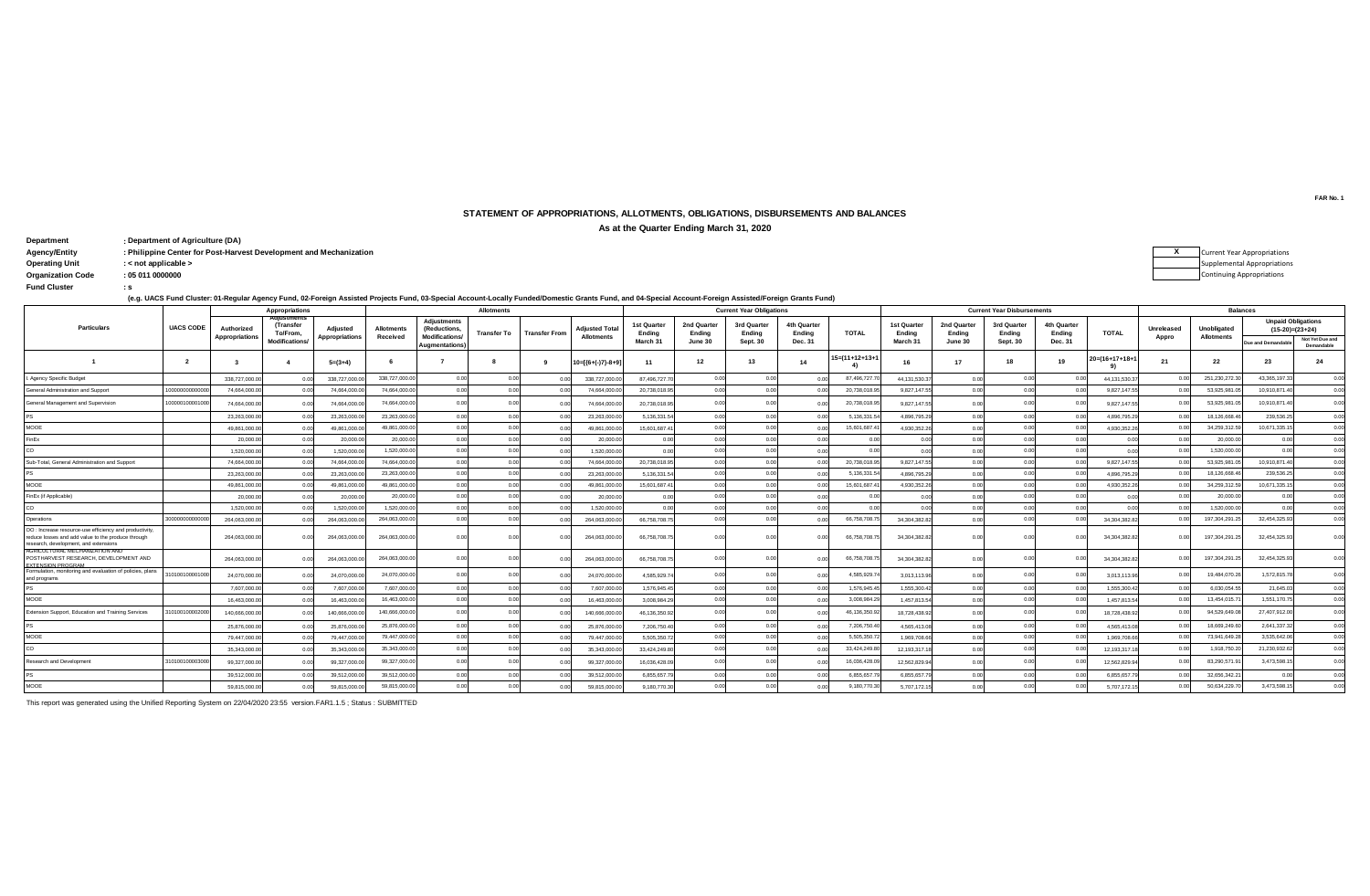## **STATEMENT OF APPROPRIATIONS, ALLOTMENTS, OBLIGATIONS, DISBURSEMENTS AND BALANCES**

**As at the Quarter Ending March 31, 2020**

**: Department Department of Agriculture (DA) : Agency/Entity : Philippine Center for Post-Harvest Development and Mechanization X Operating Unit : < not applicable >**  $O$ rganization Code **Fund Cluster** 

Current Year Appropriations Supplemental Appropriations Continuing Appropriations

**(e.g. UACS Fund Cluster: 01-Regular Agency Fund, 02-Foreign Assisted Projects Fund, 03-Special Account-Locally Funded/Domestic Grants Fund, and 04-Special Account-Foreign Assisted/Foreign Grants Fund)**

|                                                                                                                                                       |                  |                                     | Appropriations        |                                   |                               |                                                             | <b>Allotments</b>  |                      |                                            | <b>Current Year Obligations</b> |                       |                       |                       |                |                              |                       | <b>Current Year Disbursements</b> |                       | <b>Balances</b>           |                            |                                  |                    |                                                |
|-------------------------------------------------------------------------------------------------------------------------------------------------------|------------------|-------------------------------------|-----------------------|-----------------------------------|-------------------------------|-------------------------------------------------------------|--------------------|----------------------|--------------------------------------------|---------------------------------|-----------------------|-----------------------|-----------------------|----------------|------------------------------|-----------------------|-----------------------------------|-----------------------|---------------------------|----------------------------|----------------------------------|--------------------|------------------------------------------------|
| <b>Particulars</b>                                                                                                                                    | <b>UACS CODE</b> | Authorized<br><b>Appropriations</b> | (Transfer<br>To/From. | Adjusted<br><b>Appropriations</b> | <b>Allotments</b><br>Received | <b>Adiustments</b><br>(Reductions,<br><b>Modifications/</b> | <b>Transfer To</b> | <b>Transfer From</b> | <b>Adiusted Total</b><br><b>Allotments</b> | 1st Quarter<br>Endina           | 2nd Quarter<br>Ending | 3rd Quarter<br>Ending | 4th Quarter<br>Endina | <b>TOTAL</b>   | <b>1st Quarter</b><br>Endina | 2nd Quarter<br>Endina | 3rd Quarter<br>Ending             | 4th Quarter<br>Endina | <b>TOTAL</b>              | <b>Unreleased</b><br>Appro | Unobligated<br><b>Allotments</b> |                    | <b>Unpaid Obligations</b><br>$(15-20)=(23+24)$ |
|                                                                                                                                                       |                  |                                     | <b>Modifications</b>  |                                   |                               | Augmentations)                                              |                    |                      |                                            | March 3                         | June 30               | Sept. 30              | Dec. 31               |                | March 31                     | June 30               | <b>Sept. 30</b>                   | Dec. 31               |                           |                            |                                  | Due and Demandable | Not Yet Due and<br>Demandable                  |
|                                                                                                                                                       | $\overline{2}$   |                                     |                       | $5=(3+4)$                         |                               |                                                             |                    |                      | $0 = \frac{6 + (-)}{7} - 8 + 9$            | 11                              | 12                    | 13                    | 14                    | 15=(11+12+13+1 | 16                           | 17                    | 18                                | 19                    | $20 = (16 + 17 + 18 + 1)$ | 21                         | 22                               | 23                 | 24                                             |
| Agency Specific Budget                                                                                                                                |                  | 338,727,000.                        |                       | 338,727,000                       | 338,727,000.0                 | 0.00                                                        | 0.00               | 00                   | 338.727.000.                               | 87,496,727.7                    | 0.00                  | 0.00                  |                       | 87.496.727.    | 44.131.530.3                 | 0.00                  | 0.00                              |                       | 44.131.530.3              | 0 <sup>0</sup>             | 251,230,272.3                    | 43.365.197.3       | 0.00                                           |
| General Administration and Support                                                                                                                    | 000000000000     | 74,664,000.                         |                       | 74,664,000                        | 74.664.000.0                  | 0.00                                                        | 00                 | 0.01                 | 74,664,000.0                               | 20,738,018.95                   | 0.00                  | 0.00                  |                       | 20.738.018.95  | 9,827,147.55                 | 0.00                  | 0.00                              |                       | 9,827,147.5               | 00                         | 53.925.981.0                     | 10.910.871.4       | 0.00                                           |
| General Management and Supervision                                                                                                                    | 00000100001000   | 74.664.000.                         |                       | 74,664,000                        | 74.664.000.0                  | 0.00                                                        |                    | 0.0                  | 74.664.000.0                               | 20.738.018.95                   |                       | 0.00                  |                       | 20.738.018.95  | 9.827.147.5                  | 0.00                  | n nr                              |                       | 9.827.147.5               | 0 <sup>0</sup>             | 53.925.981.0                     | 10.910.871.4       | 0.00                                           |
|                                                                                                                                                       |                  | 23,263,000.                         | 0.00                  | 23,263,000                        | 23,263,000.0                  | 0.00                                                        | 0.00               | 0.0                  | 23,263,000.                                | 5.136.331.54                    | 0.00                  | 0.00                  |                       | 5,136,331.5    | 4.896.795.2                  | 0.00                  | 0.00                              |                       | 4.896.795.2               | 00                         | 18,126,668.4                     | 239,536.25         | 0.00                                           |
| MOOE                                                                                                                                                  |                  | 49.861.000.0                        |                       | 49,861,000.                       | 49.861.000.0                  | 0.00                                                        | 0.00               | 00                   | 49.861.000.0                               | 15,601,687.4                    | 0.00                  | 0.00                  |                       | 15.601.687.4   | 4,930,352.2                  |                       | 0.00                              |                       | 4,930,352.2               | 0.01                       | 34,259,312.5                     | 10.671.335.1       | 0.00                                           |
| FinEx                                                                                                                                                 |                  | 20,000.0                            |                       | 20,000.0                          | 20,000.0                      | 0.00                                                        | 00                 | 0.0                  | 20,000.0                                   | 0.00                            | 0.00                  | 0.00                  | 0.00                  |                | 0 <sub>0</sub>               |                       | 0.00                              |                       |                           | 0.01                       | 20,000.0                         |                    | 0.00                                           |
|                                                                                                                                                       |                  | 1,520,000.                          |                       | 1,520,000.                        | 1,520,000.0                   | 0.00                                                        | 0.00               | 0.0                  | 1.520.000.0                                | 0.00                            | 0.00                  | 0.00                  | 0.00                  | 0.00           | 0 <sub>0</sub>               | 0.00                  | 0.00                              | 0.00                  | 0.00                      | 0.00                       | 1.520.000.0                      |                    | 0.00                                           |
| Sub-Total, General Administration and Support                                                                                                         |                  | 74,664,000.0                        |                       | 74.664.000.                       | 74.664.000.0                  | 0.00                                                        | 0.00               | 0.0                  | 74,664,000.0                               | 20,738,018.95                   | 0.00                  | 0.00                  |                       | 20.738.018.95  | 9,827,147.55                 | 0.00                  | 0.00                              | 0.00                  | 9,827,147.5               |                            | 53.925.981.                      | 10.910.871.4       | 0.00                                           |
|                                                                                                                                                       |                  | 23,263,000.0                        |                       | 23,263,000.                       | 23.263.000.0                  | 0.00                                                        | 0.00               | 0.0                  | 23,263,000.0                               | 5,136,331.54                    | 0.00                  | 0.00                  | 0.00                  | 5,136,331.5    | 4.896.795.2                  | 0.00                  | 0.00                              |                       | 4.896.795.2               | 0 <sup>0</sup>             | 18,126,668.4                     | 239,536.25         | 0.00                                           |
| MOOE                                                                                                                                                  |                  | 49,861,000.0                        |                       | 49,861,000                        | 49.861.000.0                  | 0.00                                                        | 0.00               | 0.0                  | 49.861.000.0                               | 15,601,687.4                    | 0.00                  | 0.00                  |                       | 15,601,687.4   | 4,930,352.2                  | n nr                  | 0.00                              |                       | 4,930,352.2               | 0.OI                       | 34,259,312.5                     | 10.671.335.1       | 0.00                                           |
| FinEx (if Applicable)                                                                                                                                 |                  | 20,000.0                            |                       | 20,000.0                          | 20,000.0                      | 0.00                                                        |                    | 0 <sup>0</sup>       | 20,000.0                                   | 0.00                            | 0.00                  | 0.00                  |                       | 0 <sub>0</sub> |                              |                       | 0.00                              |                       |                           |                            | 20,000.0                         |                    | 0.00                                           |
| CO                                                                                                                                                    |                  | 1.520.000.                          |                       | 1.520.000                         | 1.520.000.0                   | 0.00                                                        | 0.00               | 0.0                  | 1.520.000.0                                | 0.00                            | 0.00                  | 0.00                  | 0.00                  | 0.00           | 00                           | 0.00                  | 0.00                              | 00                    |                           | 00                         | 1.520.000.0                      | 00                 | 0.00                                           |
| Operations                                                                                                                                            | 300000000        | 264.063.000.0                       |                       | 264.063.000                       | 264.063.000.0                 | 0.00                                                        | 0.00               | 00                   | 264.063.000.                               | 66,758,708.75                   | 0.00                  | 0.00                  |                       | 66,758,708.7   | 34.304.382.8                 | 0.00                  | 0.00                              |                       | 34.304.382.8              | 0 <sup>0</sup>             | 197.304.291.                     | 32.454.325.93      | 0.00                                           |
| OO : Increase resource-use efficiency and productivity<br>reduce losses and add value to the produce through<br>research, development, and extensions |                  | 264,063,000.0                       |                       | 264,063,000.0                     | 264.063.000.0                 | 0.00                                                        | 0.00               | 00                   | 264,063,000.0                              | 66,758,708.75                   | 0.00                  | 0.00                  |                       | 66,758,708.7   | 34,304,382.82                | 0.00                  | 0.00                              |                       | 34,304,382.8              | 0.00                       | 197.304.291.2                    | 32.454.325.9       | 0.00                                           |
| AGRICULTURAL MECHANIZATION AND<br>POSTHARVEST RESEARCH, DEVELOPMENT AND<br>EXTENSION PROGRAM                                                          |                  | 264.063.000.0                       |                       | 264.063.000.0                     | 264.063.000.0                 | 0.00                                                        | 0.00               | 0.0                  | 264.063.000.0                              | 66,758,708,75                   |                       |                       |                       | 66,758,708.7   | 34.304.382.8                 | 0.00                  | 0.00                              |                       | 34.304.382.8              | 00                         | 197,304,291.2                    | 32.454.325.9       |                                                |
| Formulation, monitoring and evaluation of policies, plans<br>and programs                                                                             | 010010000100     | 24,070,000.0                        |                       | 24,070,000.0                      | 24.070.000.0                  | 0.00                                                        |                    | 00                   | 24,070,000.0                               | 4.585.929.7                     |                       | 0.00                  |                       | 4.585.929.7    | 3,013,113.96                 | 0.00                  | 0.00                              |                       | 3,013,113.9               | 0 <sup>0</sup>             | 19,484,070.2                     | 1.572.815.78       | 0.00                                           |
| <b>PS</b>                                                                                                                                             |                  | 7.607.000.0                         |                       | 7.607.000                         | 7.607.000.0                   | 0.00                                                        | 00                 | 0.0                  | 7.607.000.0                                | 1,576,945.45                    | 0.00                  | 0.00                  |                       | 1.576.945.45   | 1.555.300.42                 | 0.00                  | 0.00                              |                       | 1,555,300.4               | 0 <sup>0</sup>             | 6.030.054.5                      | 21.645.03          | 0.00                                           |
| MOOE                                                                                                                                                  |                  | 16,463,000.                         |                       | 16,463,000                        | 16,463,000.0                  | 0.00                                                        | 0.00               | 00                   | 16.463.000.                                | 3.008.984.2                     | 0.00                  | 0.00                  |                       | 3,008,984.2    | 1,457,813.5                  | n nr                  | n nr                              |                       | 1,457,813.5               | 0.OI                       | 13,454,015.                      | 1.551.170.7        | 0.00                                           |
| Extension Support, Education and Training Services                                                                                                    | 01001000020      | 140.666.000.                        |                       | 140,666,000                       | 140.666.000.0                 | 0.00                                                        | 0.0                |                      | 140.666.000.                               | 46.136.350.92                   |                       | 0.00                  |                       | 46.136.350.9   | 18.728.438.9                 | n nr                  | 0 <sup>0<sup>c</sup></sup>        |                       | 18,728,438.9              | 0 <sup>0</sup>             | 94.529.649.0                     | 27.407.912.0       | 0.00                                           |
|                                                                                                                                                       |                  | 25.876.000.                         |                       | 25,876,000.                       | 25,876,000.0                  | 0.00                                                        | 0.00               | 00                   | 25.876.000.0                               | 7.206.750.4                     | 0.00                  | 0.00                  |                       | 7,206,750.4    | 4.565.413.0                  |                       | 0.00                              |                       | 4.565.413.0               | 00                         | 18,669,249.6                     | 2.641.337.3        | 0.00                                           |
| MOOE                                                                                                                                                  |                  | 79.447.000.                         |                       | 79,447,000                        | 79.447.000.0                  | 0.00                                                        | 00                 | 00                   | 79,447,000.0                               | 5.505.350.7                     | 0.00                  | 0.00                  |                       | 5.505.350.     | 1,969,708.6                  | 0.00                  | 0.00                              |                       | 1,969,708.6               |                            | 73.941.649.2                     | 3.535.642.0        | 0.00                                           |
| CO                                                                                                                                                    |                  | 35.343.000.                         |                       | 35.343.000                        | 35,343,000.0                  | 0.00                                                        | 0.00               | 00                   | 35.343.000.                                | 33.424.249.8                    | 0.00                  | 0.00                  |                       | 33,424,249.80  | 12.193.317.1                 | 0.00                  | 0.00                              | 0.00                  | 12.193.317.               | 0.01                       | 1,918,750.2                      | 21,230,932.6       | 0.00                                           |
| <b>Research and Development</b>                                                                                                                       | 3101001000030    | 99,327,000.                         |                       | 99,327,000                        | 99.327.000.0                  | 0.00                                                        | 00                 | 0 <sup>0</sup>       | 99.327.000.                                | 16.036.428.0                    |                       | 0.00                  |                       | 16.036.428.0   | 12,562,829.9                 | 0 <sub>0</sub>        |                                   |                       | 12,562,829.9              | 0 <sup>0</sup>             | 83,290,571.9                     | 3.473.598.1        | 0.00                                           |
|                                                                                                                                                       |                  | 39,512,000.                         |                       | 39,512,000                        | 39,512,000.0                  | 0.00                                                        | 0.00               | 00                   | 39,512,000.                                | 6,855,657.7                     | 0.00                  | 0.00                  |                       | 6.855.657.     | 6,855,657.                   | 0.OC                  |                                   |                       | 6,855,657.                | 0.01                       | 32,656,342.                      |                    | 0.00                                           |
| <b>MOOE</b>                                                                                                                                           |                  | 59,815,000.0                        |                       | 59,815,000.                       | 59,815,000.0                  | 0.00                                                        |                    | 00                   | 59.815.000.0                               | 9,180,770.30                    | 0.00                  | 0.00                  |                       | 9,180,770.30   | 5,707,172.1                  | n or                  |                                   |                       | 5,707,172.1               | 00                         | 50,634,229.                      | 3.473.598.1        | 0 <sup>0</sup>                                 |

This report was generated using the Unified Reporting System on 22/04/2020 23:55 version.FAR1.1.5 ; Status : SUBMITTED

**FAR No. 1**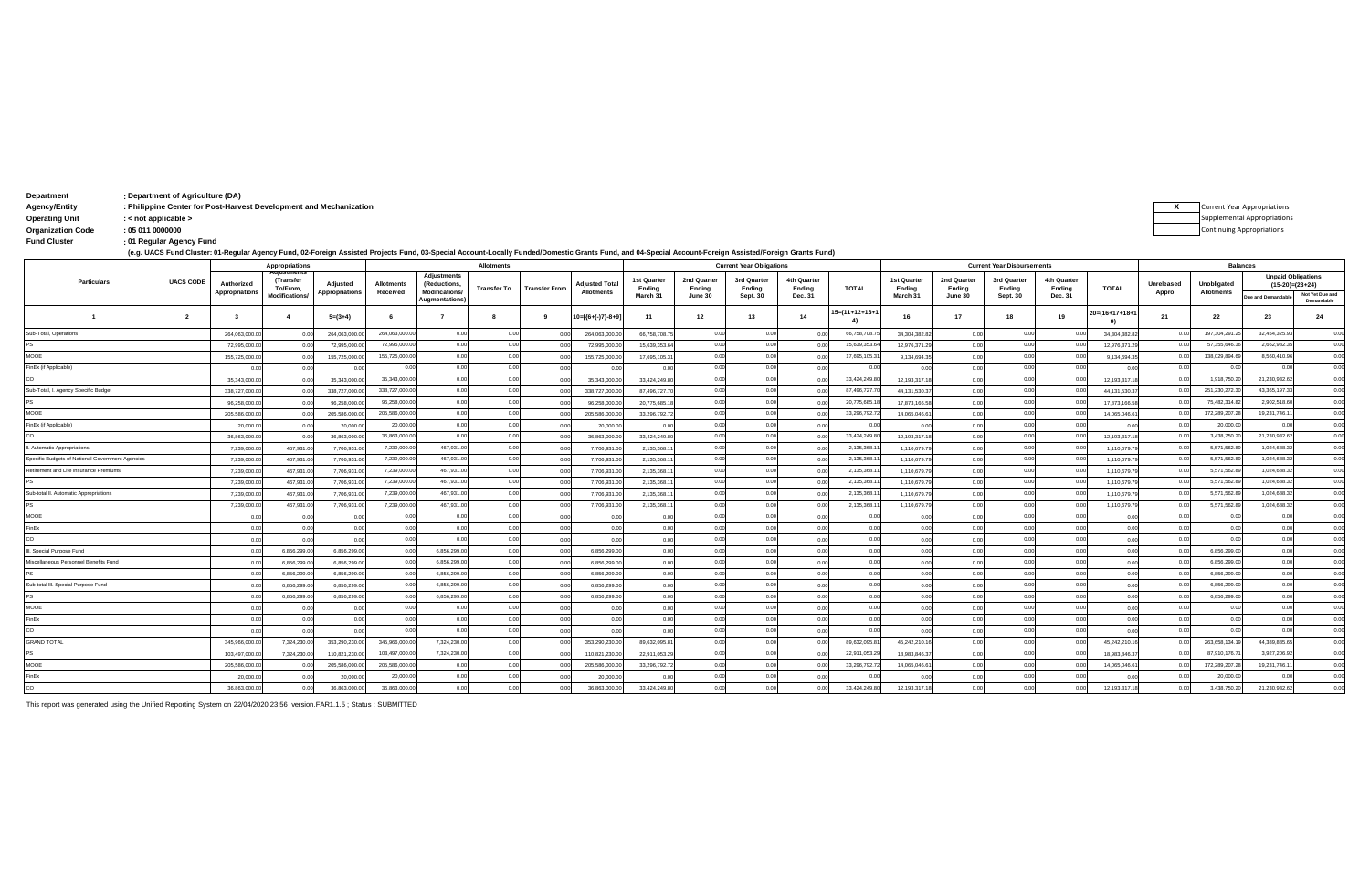| Department    | : Department of Agriculture (DA)                                   |  |
|---------------|--------------------------------------------------------------------|--|
| Agency/Entity | : Philippine Center for Post-Harvest Development and Mechanization |  |

**Agency/Entity :**

| <b>Operating Unit</b> |  |  |
|-----------------------|--|--|
|-----------------------|--|--|

**Operating Unit : < not applicable >**  $O$ rganization Code

**: Fund Cluster 01 Regular Agency Fund**

**(e.g. UACS Fund Cluster: 01-Regular Agency Fund, 02-Foreign Assisted Projects Fund, 03-Special Account-Locally Funded/Domestic Grants Fund, and 04-Special Account-Foreign Assisted/Foreign Grants Fund)**

|                                                  |                  |                              | Appropriations        |                                   |                               |                                                            | <b>Allotments</b> |                      |                                            | <b>Current Year Obligations</b> |                            |                       |                       |                            | <b>Current Year Disbursements</b> |                       |                       |                       |                                 | <b>Balances</b>     |                                  |                           |                               |
|--------------------------------------------------|------------------|------------------------------|-----------------------|-----------------------------------|-------------------------------|------------------------------------------------------------|-------------------|----------------------|--------------------------------------------|---------------------------------|----------------------------|-----------------------|-----------------------|----------------------------|-----------------------------------|-----------------------|-----------------------|-----------------------|---------------------------------|---------------------|----------------------------------|---------------------------|-------------------------------|
| Particulars                                      | <b>UACS CODE</b> | Authorized<br>Appropriations | (Transfer<br>To/From, | Adjusted<br><b>Appropriations</b> | <b>Allotments</b><br>Received | <b>Adjustments</b><br>(Reductions,<br><b>Modifications</b> | Transfer To       | <b>Transfer From</b> | <b>Adjusted Total</b><br><b>Allotments</b> | 1st Quarter<br>Ending           | 2nd Quarter<br>Ending      | 3rd Quarter<br>Endina | 4th Quarter<br>Endina | <b>TOTAL</b>               | 1st Quarter<br>Endina             | 2nd Quarter<br>Ending | 3rd Quarter<br>Ending | 4th Quarter<br>Ending | <b>TOTAL</b>                    | Unreleased<br>Appro | Unobligated<br><b>Allotments</b> | <b>Unpaid Obligations</b> | $(15-20)=(23+24)$             |
|                                                  |                  |                              | <b>Modifications</b>  |                                   |                               | Augmentations                                              |                   |                      |                                            | March 31                        | June 30                    | <b>Sept. 30</b>       | Dec. 31               |                            | March 31                          | June 30               | <b>Sept. 30</b>       | Dec. 31               |                                 |                     |                                  | Due and Demandabl         | Not Yet Due and<br>Demandable |
|                                                  | $\overline{2}$   | $\mathbf{3}$                 |                       | $5=(3+4)$                         |                               |                                                            |                   | - 9                  | $0=[(6+(-)7)-8+9]$                         | 11                              | 12                         | 13                    | 14                    | $15 = (11 + 12 + 13 + 11)$ | 16                                | 17                    | 18                    | 19                    | $20 = (16 + 17 + 18 + 1)$<br>9) | 21                  | 22                               | 23                        | 24                            |
| Sub-Total, Operations                            |                  | 264,063,000                  |                       | 264,063,000.                      | 264,063,000.0                 | 0.00                                                       | 0 <sub>0</sub>    | 0.00                 | 264,063,000.                               | 66,758,708.7                    | 0.00                       | 0.00                  |                       | 66,758,708.7               | 34,304,382.8                      | 0.00                  | 00                    |                       | 34,304,382.8                    | 0.00                | 197,304,291.2                    | 32,454,325.9              | 0.00                          |
|                                                  |                  | 72,995,000                   |                       | 72,995,000.                       | 72.995.000.0                  | 0.00                                                       | 0 <sub>0</sub>    |                      | 72,995,000.                                | 15,639,353.6                    | 0.00                       | 0.00                  |                       | 15.639.353.6               | 12,976,371.2                      | 0.OC                  | 00                    |                       | 12,976,371.                     | 00                  | 57.355.646.3                     | 2.662.982.3               | 0.00                          |
| MOOE                                             |                  | 155,725,000                  |                       | 155,725,000.                      | 155,725,000.0                 | 0.0                                                        | 0 <sub>0</sub>    | 0.00                 | 155,725,000.0                              | 17,695,105.3                    | 0.00                       | 0.00                  |                       | 17,695,105.3               | 9,134,694.3                       | 0.00                  |                       |                       | 9,134,694.3                     | 0.00                | 138,029,894.6                    | 8,560,410.9               | 0.00                          |
| FinEx (if Applicable)                            |                  |                              |                       |                                   |                               | 0.01                                                       | 0 <sub>0</sub>    | 0.00                 |                                            | 0 <sub>0</sub>                  |                            | 0.00                  |                       |                            | 0 <sub>0</sub>                    | 0.00                  |                       |                       |                                 | 0.00                | 0 <sub>0</sub>                   | 0 <sub>0</sub>            | 0.00                          |
|                                                  |                  | 35,343,000                   |                       | 35,343,000                        | 35,343,000.                   | 0.01                                                       | 0 <sub>0</sub>    |                      | 35,343,000.                                | 33,424,249.8                    | 0 <sup>0<sup>c</sup></sup> | 0.00                  |                       | 33,424,249.8               | 12,193,317.1                      | 0.00                  |                       |                       | 12,193,317.                     | 0.00                | 1,918,750.2                      | 21,230,932.6              | 0.00                          |
| Sub-Total, I. Agency Specific Budget             |                  | 338,727,000                  |                       | 338,727,000                       | 338,727,000.0                 | 0.00                                                       | 0 <sub>0</sub>    |                      | 338,727,000.                               | 87,496,727.                     |                            | 0.00                  |                       | 87,496,727.7               | 44, 131, 530.3                    |                       |                       |                       | 44, 131, 530.                   | 0.00                | 251,230,272.3                    | 43.365.197.3              | 0.00                          |
|                                                  |                  | 96,258,000                   |                       | 96,258,000                        | 96,258,000.0                  | 0.00                                                       | 0.00              |                      | 96.258.000.                                | 20,775,685.                     | 0.00                       | 0.00                  |                       | 20,775.685.1               | 17,873,166.5                      |                       | 00                    |                       | 17,873,166.                     | 0.00                | 75.482.314.82                    | 2.902.518.60              | 0.00                          |
| <b>JOON</b>                                      |                  | 205,586,000                  |                       | 205,586,000                       | 205,586,000.0                 | 0.00                                                       | 0 <sub>0</sub>    |                      | 205.586.000.                               | 33.296.792.7                    |                            | 0.00                  |                       | 33,296,792.7               | 14.065.046.6                      |                       |                       |                       | 14.065.046.6                    | 0.00                | 172,289,207.2                    | 19,231,746.1              | 0.00                          |
| FinEx (if Applicable)                            |                  | 20,000.                      |                       | 20,000.                           | 20,000.0                      | 0.00                                                       | 0.00              |                      | 20,000.0                                   | 00                              |                            | 0.00                  |                       | 0.01                       |                                   |                       |                       |                       |                                 | 0.00                | 20,000.00                        | 0.00                      | 0.00                          |
|                                                  |                  | 36,863,000                   |                       | 36,863,000                        | 36,863,000.0                  | 0.01                                                       | 0 <sub>0</sub>    |                      | 36.863.000.                                | 33.424.249.8                    |                            | 0.00                  |                       | 33,424,249.80              | 12.193.317.1                      |                       |                       |                       | 12.193.317.                     | 0.00                | 3,438,750.2                      | 21,230,932.6              | 0.00                          |
| Automatic Appropriations                         |                  | 7.239.000.                   | 467.931.              | 7.706.931.                        | 7,239,000.0                   | 467,931.0                                                  | 0.00              | 0.00                 | 7.706.931.                                 | 2.135.368.                      | 0.00                       | 0.00                  |                       | 2,135,368.1                | 1,110,679.7                       | 0.00                  | 000                   |                       | 1.110.679.                      | 0.00                | 5,571,562.8                      | 1,024,688.32              | 0.00                          |
| Specific Budgets of National Government Agencies |                  | 7,239,000.0                  | 467,931.              | 7,706,931.                        | 7,239,000.0                   | 467,931.0                                                  | 0.00              | 0.00                 | 7,706,931.0                                | 2,135,368.1                     | 0.00                       | 0.00                  |                       | 2,135,368.1                | 1,110,679.7                       | 0.00                  | 0.00                  | 0.0                   | 1,110,679.7                     | 0.00                | 5,571,562.8                      | 1,024,688.32              | 0.00                          |
| Retirement and Life Insurance Premiums           |                  | 7,239,000.0                  | 467,931.              | 7,706,931.                        | 7,239,000.0                   | 467,931.0                                                  | 0.00              | 0.00                 | 7,706,931.0                                | 2,135,368.1                     | 0.00                       | 0.00                  |                       | 2,135,368.1                | 1,110,679.7                       | 0.00                  | 0.00                  | n c                   | 1,110,679.7                     | 0.00                | 5,571,562.8                      | 1,024,688.32              | 0.00                          |
|                                                  |                  | 7,239,000.0                  | 467,931.0             | 7,706,931.                        | 7,239,000.0                   | 467,931.0                                                  | 0.00              | 0.00                 | 7,706,931.0                                | 2,135,368.1                     | 0.00                       | 0.00                  |                       | 2,135,368.1                | 1,110,679.7                       | 0.00                  | 0.00                  | 0.0                   | 1,110,679.7                     | 0.00                | 5,571,562.8                      | 1,024,688.32              | 0.00                          |
| Sub-total II. Automatic Appropriations           |                  | 7,239,000.0                  | 467,931.              | 7,706,931.                        | 7,239,000.0                   | 467,931.0                                                  | 0.00              | 0.00                 | 7,706,931.0                                | 2,135,368.1                     | 0.00                       | 0.00                  |                       | 2,135,368.1                | 1,110,679.7                       | 0.00                  | 0.00                  | 00                    | 1,110,679.7                     | 0.00                | 5,571,562.8                      | 1,024,688.32              | 0.00                          |
|                                                  |                  | 7,239,000.0                  | 467,931.              | 7,706,931.                        | 7,239,000.0                   | 467,931.0                                                  | 0.00              | 0.00                 | 7,706,931.0                                | 2,135,368.                      | 0.00                       | 0.00                  |                       | 2,135,368.1                | 1,110,679.7                       | 0.00                  | 0.00                  |                       | 1,110,679.                      | 0.00                | 5,571,562.8                      | 1.024.688.3               | 0.00                          |
| <b>MOOE</b>                                      |                  | 0.00                         |                       |                                   | 00                            | 0.00                                                       | 0 <sub>0</sub>    | 0.00                 | 0.00                                       | 0.00                            |                            | 0.00                  | 00                    | 0 <sub>0</sub>             | 0.00                              | 0.00                  | 0.00                  |                       | 0 <sup>0</sup>                  | 00                  | 0.00                             | 0 <sub>0</sub>            | 0.00                          |
| inEx                                             |                  | 0.00                         |                       | 00                                |                               | 0.00                                                       | 0.01              | 0.00                 | 0.00                                       | 0.00                            |                            | 0.00                  | 00                    | 0.00                       | 0.00                              | 0.00                  | 000                   |                       | 0 <sup>1</sup>                  | 00                  | 0.0                              |                           | 0.00                          |
|                                                  |                  | 0.00                         |                       |                                   | 00                            | 0.0                                                        | 0 <sub>0</sub>    | 0.00                 | 0.00                                       | 0.00                            |                            | 0.00                  | 00                    | 0.00                       | 0.OC                              | 0.00                  | 000                   |                       | 0 <sup>1</sup>                  | 0.00                | 0.0                              | 0 <sub>0</sub>            | 0.00                          |
| Special Purpose Fund                             |                  | 0.00                         | 6,856,299.            | 6,856,299.0                       | 00                            | 6,856,299.0                                                | 0.01              | 0.00                 | 6,856,299.0                                | 0.00                            |                            | 0.00                  |                       | 0.00                       | 0.OC                              | 0.00                  | 000                   |                       | 0 <sup>o</sup>                  | 0.00                | 6,856,299.00                     | 00                        | 0.00                          |
| Miscellaneous Personnel Benefits Fund            |                  |                              | 6.856.299.            | 6,856,299.0                       | 0 <sup>0</sup>                | 6,856,299.0                                                | 0 <sub>0</sub>    | 0.00                 | 6.856.299.0                                | 0.00                            |                            | 0.00                  |                       | 0.00                       | 0.OC                              |                       | 000                   |                       | 0 <sup>1</sup>                  | 00                  | 6,856,299.0                      | 0 <sub>0</sub>            | 0.00                          |
|                                                  |                  |                              | 6,856,299.            | 6,856,299.0                       | 0.01                          | 6,856,299.0                                                | 0.00              | 0.00                 | 6,856,299.0                                | 0.00                            | 00                         | 0.00                  | 00                    | 0.00                       | 0.00                              | 0.00                  | 00                    |                       | 0 <sup>0</sup>                  | 0.00                | 6,856,299.00                     | 0.00                      | 0.00                          |
| Sub-total III. Special Purpose Fund              |                  |                              | 6,856,299.            | 6,856,299.                        | 0.01                          | 6.856.299.0                                                | 0.00              | 0.00                 | 6,856,299.0                                | 0.00                            | 00                         | 0.00                  | 00                    | 0.00                       | 0.00                              | 0.00                  | 00                    |                       | 0 <sup>0</sup>                  | 0.00                | 6,856,299.00                     |                           | 0.00                          |
|                                                  |                  |                              | 6,856,299.            | 6,856,299.0                       | 0.01                          | 6,856,299.0                                                | 0.00              | 0.00                 | 6,856,299.00                               | 0.00                            | 00                         | 0.00                  | 00                    | 0.00                       | 0.00                              | 0.00                  | 00                    | 00                    | 0 <sup>0</sup>                  | 0.00                | 6,856,299.00                     | 0 <sub>0</sub>            | 0.00                          |
| <b>MOOE</b>                                      |                  |                              |                       |                                   | 0 <sup>0</sup>                | 0.01                                                       | 0.01              | 0.00                 | 0 <sub>0</sub>                             | 0.00                            | 00                         | 0.00                  |                       | 0.00                       | 0.00                              | 0.00                  | 00                    |                       | 0 <sup>1</sup>                  | 0.00                | 0.00                             | 0 <sup>0</sup>            | 0.00                          |
| inEx                                             |                  |                              |                       |                                   | 00                            | 0.01                                                       | 0 <sub>0</sub>    |                      | 0.00                                       | 0.00                            |                            | 0.00                  | 00                    | 0.00                       | 0.00                              | 0.00                  | 00                    |                       | 0 <sup>0</sup>                  | 0.00                | 0.00                             |                           | 0.00                          |
|                                                  |                  |                              |                       |                                   | 0.01                          | 0.0                                                        | 0.00              | 0.00                 | 00                                         | 0 <sub>0</sub>                  |                            | 0.00                  | 0 <sub>0</sub>        | 0.00                       | 0 <sub>0</sub>                    | 0.00                  | 00                    | 00                    |                                 | 0.00                | 0.00                             | 0.00                      | 0.00                          |
| <b>GRAND TOTAL</b>                               |                  | 345,966,000                  | 7,324,230.            | 353,290,230.                      | 345,966,000.0                 | 7.324.230.0                                                | 0.00              |                      | 353,290,230.0                              | 89,632,095.8                    |                            | 0.00                  |                       | 89.632.095.81              | 45,242,210.1                      | 0.00                  | 00                    |                       | 45,242,210.                     | 0.00                | 263.658.134.1                    | 44.389.885.65             | 0.00                          |
|                                                  |                  | 103,497,000                  | 7,324,230.0           | 110,821,230.0                     | 103,497,000.0                 | 7,324,230.0                                                | 0.00              |                      | 110.821.230.0                              | 22.911.053.2                    | 0.00                       | 0.00                  |                       | 22,911,053.2               | 18.983.846.3                      | 0.00                  | 00                    |                       | 18,983,846.3                    | 0.00                | 87,910,176.7                     | 3,927,206.92              | 0.00                          |
| MOOE                                             |                  | 205,586,000                  |                       | 205,586,000                       | 205,586,000.0                 | 0.00                                                       | 0.00              |                      | 205,586,000.                               | 33,296,792.7                    | 0.00                       | 0.00                  |                       | 33,296,792.7               | 14,065,046.6                      | 0.00                  | 0 <sub>0</sub>        |                       | 14,065,046.6                    | 0.00                | 172,289,207.2                    | 19,231,746.11             | 0.00                          |
| inEx                                             |                  | 20,000.0                     |                       | 20,000.                           | 20,000.0                      | 0.00                                                       | 0 <sub>0</sub>    | 0.00                 | 20,000.0                                   | 0 <sub>0</sub>                  | 0.00                       | 0.00                  |                       | 0 <sub>0</sub>             | 0 <sub>0</sub>                    | 0.00                  | 00                    |                       |                                 | 0.00                | 20,000.0                         | 0.00                      | 0.00                          |
|                                                  |                  | 36.863.000.00                |                       | 36.863.000.                       | 36,863,000.0                  | 0.00                                                       | 0.00              | 0.00                 | 36,863,000.00                              | 33.424.249.80                   | 0.00                       | 0.00                  | 0.00                  | 33,424,249.80              | 12.193.317.18                     | 0.00                  | 0.00                  |                       | 12.193.317.1                    | 0.00                | 3,438,750.20                     | 21,230,932.62             | 0.00                          |

This report was generated using the Unified Reporting System on 22/04/2020 23:56 version.FAR1.1.5 ; Status : SUBMITTED

Current Year Appropriations Supplemental Appropriations Continuing Appropriations